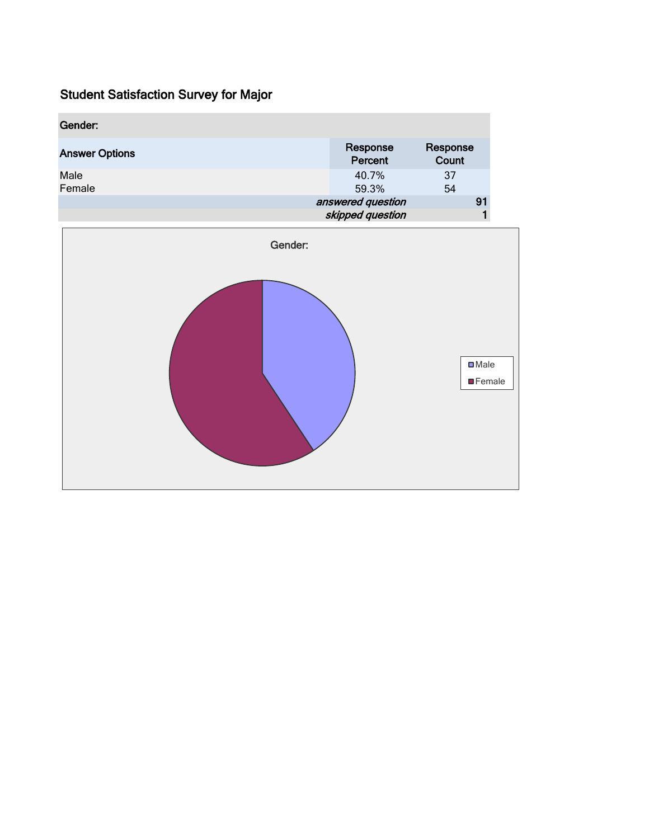| Gender:               |                     |                   |
|-----------------------|---------------------|-------------------|
| <b>Answer Options</b> | Response<br>Percent | Response<br>Count |
| Male<br>Female        | 40.7%<br>59.3%      | -37<br>54         |
|                       | answered question   | 91                |
|                       | skipped question    |                   |

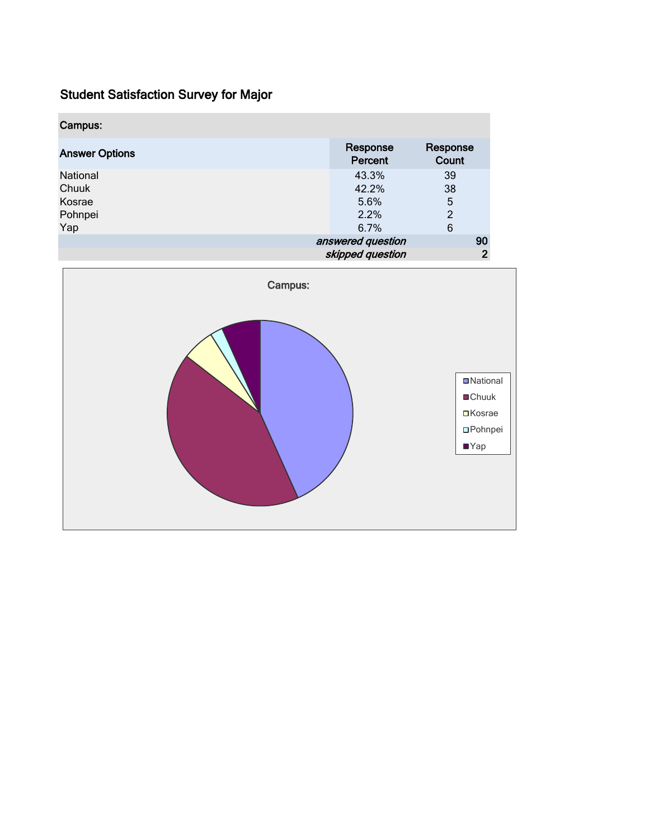| Campus:               |                     |                   |                |
|-----------------------|---------------------|-------------------|----------------|
| <b>Answer Options</b> | Response<br>Percent | Response<br>Count |                |
| National              | 43.3%               | 39                |                |
| Chuuk                 | 42.2%               | 38                |                |
| Kosrae                | 5.6%                | 5                 |                |
| Pohnpei               | 2.2%                | $\overline{2}$    |                |
| Yap                   | 6.7%                | 6                 |                |
|                       | answered question   |                   | 90             |
|                       | skipped question    |                   | $\overline{2}$ |

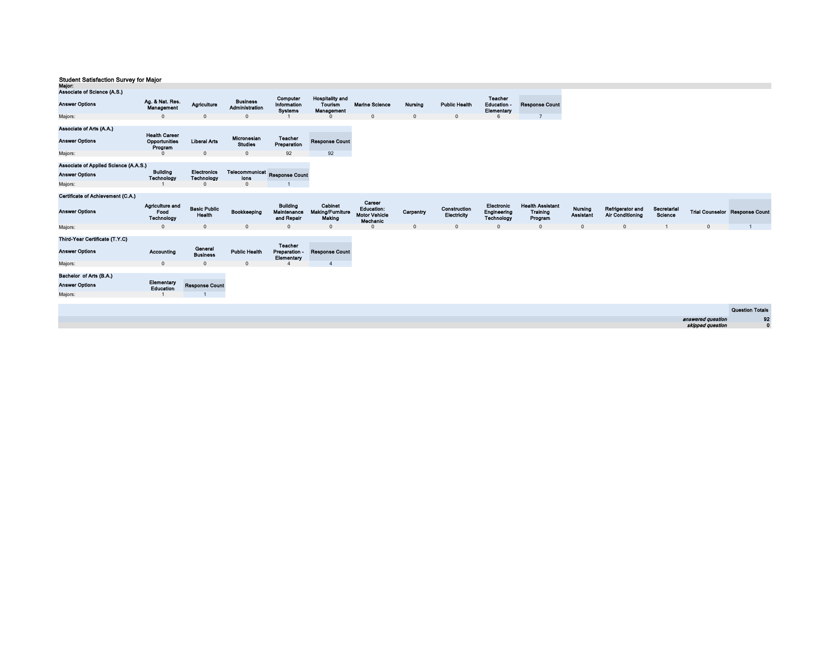| major.<br>Associate of Science (A.S.)                        |                                                  |                                         |                                           |                                              |                                                 |                                         |                |                             |                                             |                                                       |                             |                                             |                        |                   |                                       |
|--------------------------------------------------------------|--------------------------------------------------|-----------------------------------------|-------------------------------------------|----------------------------------------------|-------------------------------------------------|-----------------------------------------|----------------|-----------------------------|---------------------------------------------|-------------------------------------------------------|-----------------------------|---------------------------------------------|------------------------|-------------------|---------------------------------------|
| <b>Answer Options</b>                                        | Ag. & Nat. Res.<br>Management                    | Agriculture                             | <b>Business</b><br>Administration         | Computer<br>Information<br><b>Systems</b>    | <b>Hospitality and</b><br>Tourism<br>Management | <b>Marine Science</b>                   | <b>Nursing</b> | <b>Public Health</b>        | <b>Teacher</b><br>Education -<br>Elementary | <b>Response Count</b>                                 |                             |                                             |                        |                   |                                       |
| Majors:                                                      | $\mathbf{0}$                                     | $\Omega$                                | $\Omega$                                  |                                              |                                                 | $\mathbf{0}$                            | $\mathbf{0}$   | $\mathbf{0}$                | 6                                           | $\overline{7}$                                        |                             |                                             |                        |                   |                                       |
| Associate of Arts (A.A.)<br><b>Answer Options</b><br>Majors: | <b>Health Career</b><br>Opportunities<br>Program | <b>Liberal Arts</b><br>$\Omega$         | Micronesian<br><b>Studies</b><br>$\Omega$ | Teacher<br>Preparation<br>92                 | <b>Response Count</b><br>92                     |                                         |                |                             |                                             |                                                       |                             |                                             |                        |                   |                                       |
| Associate of Applied Science (A.A.S.)                        |                                                  |                                         |                                           |                                              |                                                 |                                         |                |                             |                                             |                                                       |                             |                                             |                        |                   |                                       |
| <b>Answer Options</b>                                        | <b>Building</b><br>Technology                    | <b>Electronics</b><br><b>Technology</b> | Telecommunicat Response Count<br>ions     |                                              |                                                 |                                         |                |                             |                                             |                                                       |                             |                                             |                        |                   |                                       |
| Majors:                                                      |                                                  | $\Omega$                                | $\Omega$                                  |                                              |                                                 |                                         |                |                             |                                             |                                                       |                             |                                             |                        |                   |                                       |
| Certificate of Achievement (C.A.)                            |                                                  |                                         |                                           |                                              |                                                 | Career                                  |                |                             |                                             |                                                       |                             |                                             |                        |                   |                                       |
| <b>Answer Options</b>                                        | Agriculture and<br>Food<br>Technology            | <b>Basic Public</b><br>Health           | Bookkeeping                               | <b>Building</b><br>Maintenance<br>and Repair | Cabinet<br>Making/Furniture<br>Making           | Education:<br>Motor Vehicle<br>Mechanic | Carpentry      | Construction<br>Electricity | Electronic<br>Engineering<br>Technology     | <b>Health Assistant</b><br><b>Training</b><br>Program | Nursing<br><b>Assistant</b> | Refrigerator and<br><b>Air Conditioning</b> | Secretarial<br>Science |                   | <b>Trial Counselor Response Count</b> |
| Majors:                                                      | $\Omega$                                         | $\Omega$                                | $\Omega$                                  | $\Omega$                                     | $\overline{0}$                                  |                                         | $\mathbf{0}$   | $\Omega$                    | $\mathbf{0}$                                | $\mathbf{0}$                                          | $\Omega$                    | $\Omega$                                    |                        | $\Omega$          |                                       |
| Third-Year Certificate (T.Y.C)<br><b>Answer Options</b>      | Accounting                                       | General<br><b>Business</b>              | <b>Public Health</b>                      | Teacher<br>Preparation -<br>Elementary       | <b>Response Count</b>                           |                                         |                |                             |                                             |                                                       |                             |                                             |                        |                   |                                       |
| Majors:                                                      | $\mathbf{0}$                                     | $\Omega$                                | $\Omega$                                  |                                              | $\mathbf{A}$                                    |                                         |                |                             |                                             |                                                       |                             |                                             |                        |                   |                                       |
| Bachelor of Arts (B.A.)<br><b>Answer Options</b><br>Majors:  | Elementary<br>Education                          | <b>Response Count</b>                   |                                           |                                              |                                                 |                                         |                |                             |                                             |                                                       |                             |                                             |                        |                   |                                       |
|                                                              |                                                  |                                         |                                           |                                              |                                                 |                                         |                |                             |                                             |                                                       |                             |                                             |                        |                   | <b>Question Totals</b>                |
|                                                              |                                                  |                                         |                                           |                                              |                                                 |                                         |                |                             |                                             |                                                       |                             |                                             |                        | answered question | 92                                    |
|                                                              |                                                  |                                         |                                           |                                              |                                                 |                                         |                |                             |                                             |                                                       |                             |                                             |                        | skipped question  | $\mathbf{0}$                          |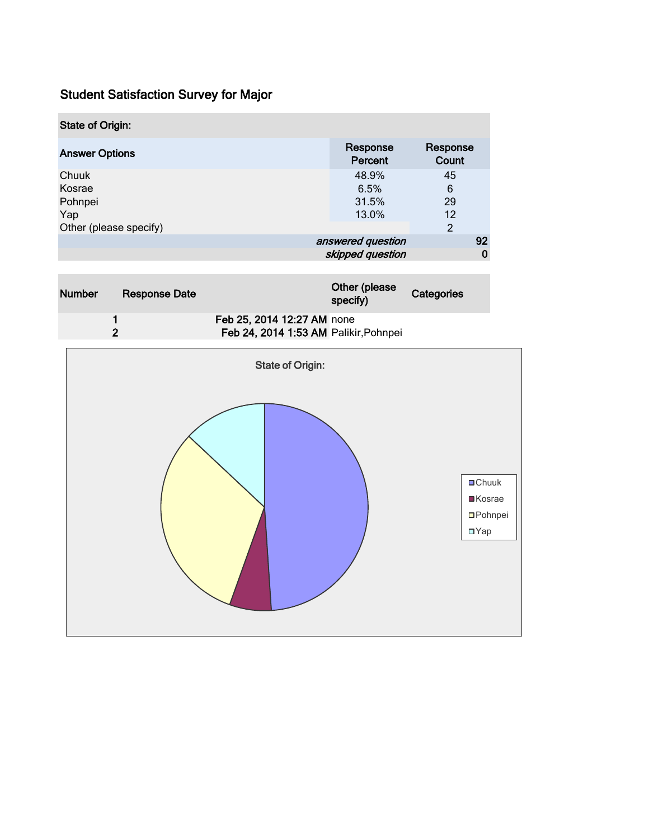| <b>State of Origin:</b>       |                                       |                      |
|-------------------------------|---------------------------------------|----------------------|
| <b>Answer Options</b>         | Response<br>Percent                   | Response<br>Count    |
| Chuuk<br>Kosrae<br>Pohnpei    | 48.9%<br>6.5%<br>31.5%                | 45<br>6<br>29        |
| Yap<br>Other (please specify) | 13.0%                                 | 12<br>$\mathfrak{p}$ |
|                               | answered question<br>skipped question | 92<br>0              |